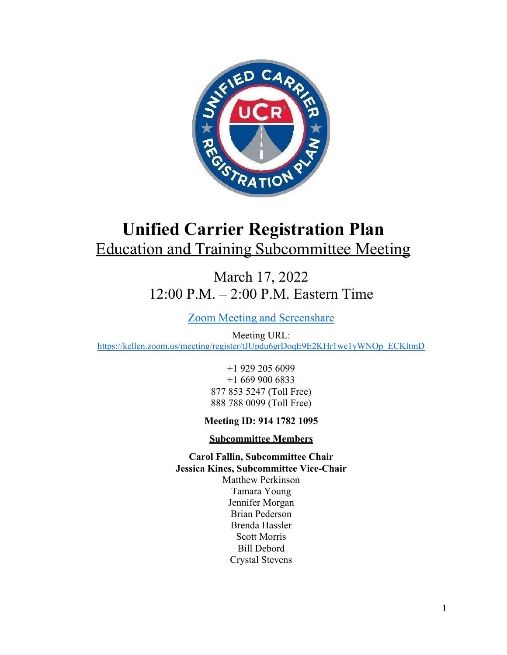

# **Unified Carrier Registration Plan** Education and Training Subcommittee Meeting

March 17, 2022 12:00 P.M. – 2:00 P.M. Eastern Time

Zoom Meeting and Screenshare

Meeting URL: https://kellen.zoom.us/meeting/register/tJUpdu6grDoqE9E2KHr1we1yWNOp\_ECKltmD

> +1 929 205 6099 +1 669 900 6833 877 853 5247 (Toll Free) 888 788 0099 (Toll Free)

# **Meeting ID: 914 1782 1095**

## **Subcommittee Members**

**Carol Fallin, Subcommittee Chair Jessica Kines, Subcommittee Vice-Chair**  Matthew Perkinson Tamara Young Jennifer Morgan Brian Pederson Brenda Hassler Scott Morris Bill Debord Crystal Stevens